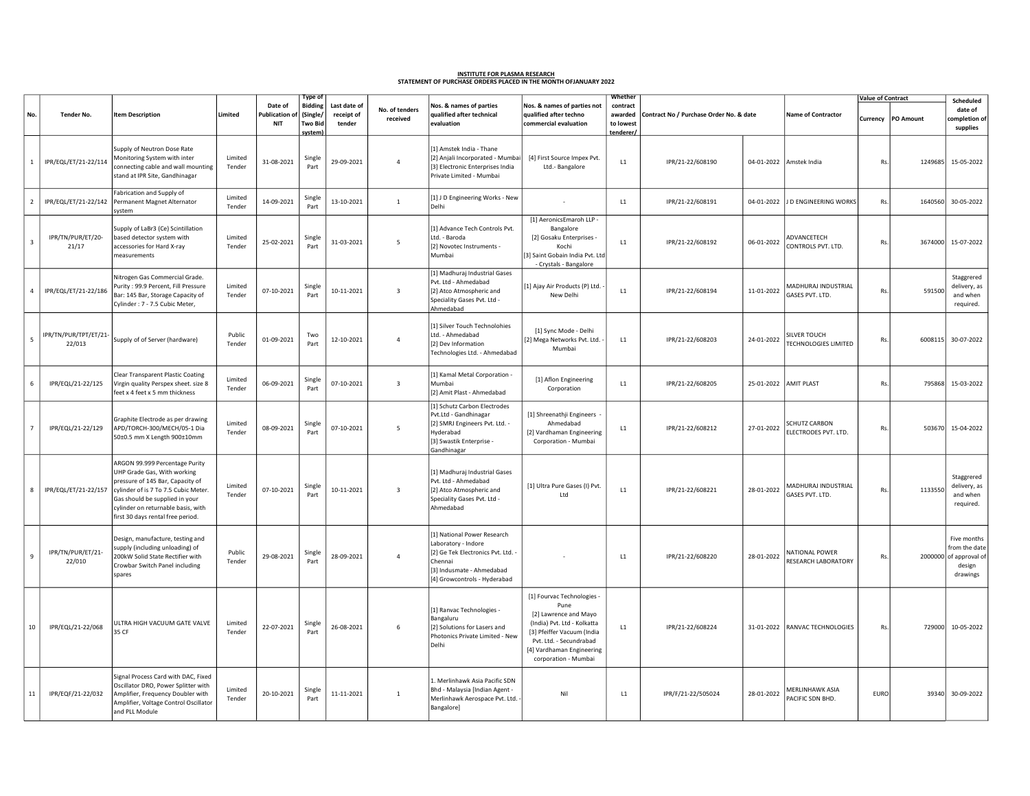## <u>INSTITUTE FOR PLASMA RESEARCH</u><br>STATEMENT OF PURCHASE ORDERS PLACED IN THE MONTH OFJANUARY 2022

|                          |                                 |                                                                                                                                                                                                                                                        |                   |                                      | Type of                                          |                                      |                            |                                                                                                                                                                |                                                                                                                                                                                                          | Whether                                       | Contract No / Purchase Order No. & date |                       |                                              | <b>Value of Contract</b> |                    | Scheduled                                                                   |
|--------------------------|---------------------------------|--------------------------------------------------------------------------------------------------------------------------------------------------------------------------------------------------------------------------------------------------------|-------------------|--------------------------------------|--------------------------------------------------|--------------------------------------|----------------------------|----------------------------------------------------------------------------------------------------------------------------------------------------------------|----------------------------------------------------------------------------------------------------------------------------------------------------------------------------------------------------------|-----------------------------------------------|-----------------------------------------|-----------------------|----------------------------------------------|--------------------------|--------------------|-----------------------------------------------------------------------------|
| No.                      | Tender No.                      | <b>Item Description</b>                                                                                                                                                                                                                                | Limited           | Date of<br>Publication<br><b>NIT</b> | <b>Bidding</b><br>(Single/<br>Two Bid<br>system) | Last date of<br>receipt of<br>tender | No. of tenders<br>received | Nos. & names of parties<br>qualified after technical<br>evaluation                                                                                             | Nos. & names of parties not<br>qualified after techno<br>commercial evaluation                                                                                                                           | contract<br>awarded<br>to lowest<br>tenderer/ |                                         |                       | <b>Name of Contractor</b>                    |                          | Currency PO Amount | date of<br>ompletion of<br>supplies                                         |
| 1                        | IPR/EQL/ET/21-22/114            | Supply of Neutron Dose Rate<br>Aonitoring System with inter<br>connecting cable and wall mounting<br>stand at IPR Site, Gandhinagar                                                                                                                    | Limited<br>Tender | 31-08-2021                           | Single<br>Part                                   | 29-09-2021                           | 4                          | [1] Amstek India - Thane<br>[2] Anjali Incorporated - Mumbai<br>[3] Electronic Enterprises India<br>Private Limited - Mumbai                                   | [4] First Source Impex Pvt.<br>Ltd.-Bangalore                                                                                                                                                            | L1                                            | IPR/21-22/608190                        |                       | 04-01-2022 Amstek India                      | Rs.                      |                    | 1249685 15-05-2022                                                          |
| $\overline{2}$           | IPR/EQL/ET/21-22/142            | Fabrication and Supply of<br>Permanent Magnet Alternator<br>system                                                                                                                                                                                     | Limited<br>Tender | 14-09-2021                           | Single<br>Part                                   | 13-10-2021                           | $\mathbf{1}$               | [1] J D Engineering Works - New<br>Delhi                                                                                                                       |                                                                                                                                                                                                          | L1                                            | IPR/21-22/608191                        | 04-01-2022            | J D ENGINEERING WORKS                        | Rs.                      | 1640560            | 30-05-2022                                                                  |
| $\overline{\mathbf{3}}$  | IPR/TN/PUR/ET/20-<br>21/17      | Supply of LaBr3 (Ce) Scintillation<br>based detector system with<br>accessories for Hard X-ray<br>measurements                                                                                                                                         | Limited<br>Tender | 25-02-2021                           | Single<br>Part                                   | 31-03-2021                           | 5                          | [1] Advance Tech Controls Pvt.<br>Ltd. - Baroda<br>[2] Novotec Instruments -<br>Mumbai                                                                         | [1] AeronicsEmaroh LLP -<br>Bangalore<br>[2] Gosaku Enterprises -<br>Kochi<br>[3] Saint Gobain India Pvt. Ltd<br>- Crystals - Bangalore                                                                  | L1                                            | IPR/21-22/608192                        | 06-01-2022            | ADVANCETECH<br>CONTROLS PVT. LTD.            | Rs.                      |                    | 3674000 15-07-2022                                                          |
| $\overline{4}$           | IPR/EQL/ET/21-22/186            | Nitrogen Gas Commercial Grade.<br>Purity: 99.9 Percent, Fill Pressure<br>Bar: 145 Bar, Storage Capacity of<br>Cylinder: 7 - 7.5 Cubic Meter,                                                                                                           | Limited<br>Tender | 07-10-2021                           | Single<br>Part                                   | 10-11-2021                           | $\overline{\mathbf{3}}$    | [1] Madhuraj Industrial Gases<br>Pvt. Ltd - Ahmedabad<br>[2] Atco Atmospheric and<br>Speciality Gases Pvt. Ltd -<br>Ahmedabad                                  | [1] Ajay Air Products (P) Ltd.<br>New Delhi                                                                                                                                                              | L1                                            | IPR/21-22/608194                        | 11-01-2022            | MADHURAJ INDUSTRIAL<br>ASES PVT. LTD.        | Rs.                      | 591500             | Staggrered<br>delivery, as<br>and when<br>required.                         |
| $\overline{\phantom{a}}$ | IPR/TN/PUR/TPT/ET/21-<br>22/013 | Supply of of Server (hardware)                                                                                                                                                                                                                         | Public<br>Tender  | 01-09-2021                           | Two<br>Part                                      | 12-10-2021                           | $\overline{4}$             | [1] Silver Touch Technolohies<br>Ltd. - Ahmedabad<br>[2] Dev Information<br>Technologies Ltd. - Ahmedabad                                                      | [1] Sync Mode - Delhi<br>[2] Mega Networks Pvt. Ltd.<br>Mumbai                                                                                                                                           | L1                                            | IPR/21-22/608203                        | 24-01-2022            | SILVER TOUCH<br><b>TECHNOLOGIES LIMITED</b>  | Rs.                      | 6008115            | 30-07-2022                                                                  |
| 6                        | IPR/EQL/21-22/125               | Clear Transparent Plastic Coating<br>Virgin quality Perspex sheet. size 8<br>feet x 4 feet x 5 mm thickness                                                                                                                                            | Limited<br>Tender | 06-09-2021                           | Single<br>Part                                   | 07-10-2021                           | $\overline{\mathbf{3}}$    | [1] Kamal Metal Corporation -<br>Mumbai<br>[2] Amit Plast - Ahmedabad                                                                                          | [1] Aflon Engineering<br>Corporation                                                                                                                                                                     | L1                                            | IPR/21-22/608205                        | 25-01-2022 AMIT PLAST |                                              | Rs.                      | 795868             | 15-03-2022                                                                  |
|                          | IPR/EQL/21-22/129               | Graphite Electrode as per drawing<br>APD/TORCH-300/MECH/05-1 Dia<br>50±0.5 mm X Length 900±10mm                                                                                                                                                        | Limited<br>Tender | 08-09-2021                           | Single<br>Part                                   | 07-10-2021                           | 5                          | [1] Schutz Carbon Electrodes<br>Pvt.Ltd - Gandhinagar<br>[2] SMRJ Engineers Pvt. Ltd. -<br>Hyderabad<br>[3] Swastik Enterprise -<br>Gandhinagar                | [1] Shreenathji Engineers<br>Ahmedabad<br>[2] Vardhaman Engineering<br>Corporation - Mumbai                                                                                                              | L1                                            | IPR/21-22/608212                        | 27-01-2022            | CHUTZ CARBON<br>LECTRODES PVT. LTD.          | Rs.                      | 503670             | 15-04-2022                                                                  |
| 8                        | IPR/EQL/ET/21-22/157            | ARGON 99.999 Percentage Purity<br>UHP Grade Gas, With working<br>pressure of 145 Bar, Capacity of<br>cylinder of is 7 To 7.5 Cubic Meter.<br>Gas should be supplied in your<br>cylinder on returnable basis, with<br>first 30 days rental free period. | Limited<br>Tender | 07-10-2021                           | Single<br>Part                                   | 10-11-2021                           | $\overline{\mathbf{3}}$    | [1] Madhuraj Industrial Gases<br>Pvt. Ltd - Ahmedabad<br>[2] Atco Atmospheric and<br>Speciality Gases Pvt. Ltd -<br>Ahmedabad                                  | [1] Ultra Pure Gases (I) Pvt.<br>Ltd                                                                                                                                                                     | L1                                            | IPR/21-22/608221                        | 28-01-2022            | MADHURAJ INDUSTRIAL<br>ASES PVT. LTD.        | Rs.                      | 1133550            | Staggrered<br>delivery, as<br>and when<br>required.                         |
| $\overline{9}$           | IPR/TN/PUR/ET/21-<br>22/010     | Design, manufacture, testing and<br>upply (including unloading) of<br>200kW Solid State Rectifier with<br>Crowbar Switch Panel including<br>spares                                                                                                     | Public<br>Tender  | 29-08-2021                           | Single<br>Part                                   | 28-09-2021                           | $\overline{4}$             | [1] National Power Research<br>Laboratory - Indore<br>[2] Ge Tek Electronics Pvt. Ltd.<br>Chennai<br>[3] Indusmate - Ahmedabad<br>[4] Growcontrols - Hyderabad |                                                                                                                                                                                                          | L1                                            | IPR/21-22/608220                        | 28-01-2022            | <b>VATIONAL POWER</b><br>RESEARCH LABORATORY | Rs.                      |                    | Five months<br>rom the date<br>2000000 of approval of<br>design<br>drawings |
| 10                       | IPR/EQL/21-22/068               | ULTRA HIGH VACUUM GATE VALVE<br>35 CF                                                                                                                                                                                                                  | Limited<br>Tender | 22-07-2021                           | Single<br>Part                                   | 26-08-2021                           | 6                          | [1] Ranvac Technologies -<br>Bangaluru<br>[2] Solutions for Lasers and<br>Photonics Private Limited - New<br>Delhi                                             | [1] Fourvac Technologies -<br>Pune<br>[2] Lawrence and Mayo<br>(India) Pvt. Ltd - Kolkatta<br>[3] Pfeiffer Vacuum (India<br>Pvt. Ltd. - Secundrabad<br>[4] Vardhaman Engineering<br>corporation - Mumbai | L1                                            | IPR/21-22/608224                        |                       | 31-01-2022 RANVAC TECHNOLOGIES               | Rs.                      |                    | 729000 10-05-2022                                                           |
| 11                       | IPR/EQF/21-22/032               | Signal Process Card with DAC, Fixed<br>Oscillator DRO, Power Splitter with<br>Amplifier, Frequency Doubler with<br>Amplifier, Voltage Control Oscillator<br>and PLL Module                                                                             | Limited<br>Tender | 20-10-2021                           | Single<br>Part                                   | 11-11-2021                           | $\mathbf{1}$               | 1. Merlinhawk Asia Pacific SDN<br>Bhd - Malaysia [Indian Agent -<br>Merlinhawk Aerospace Pvt. Ltd.<br>Bangalore]                                               | Nil                                                                                                                                                                                                      | L1                                            | IPR/F/21-22/505024                      | 28-01-2022            | <b>MERLINHAWK ASIA</b><br>ACIFIC SDN BHD.    | <b>EURO</b>              |                    | 39340 30-09-2022                                                            |